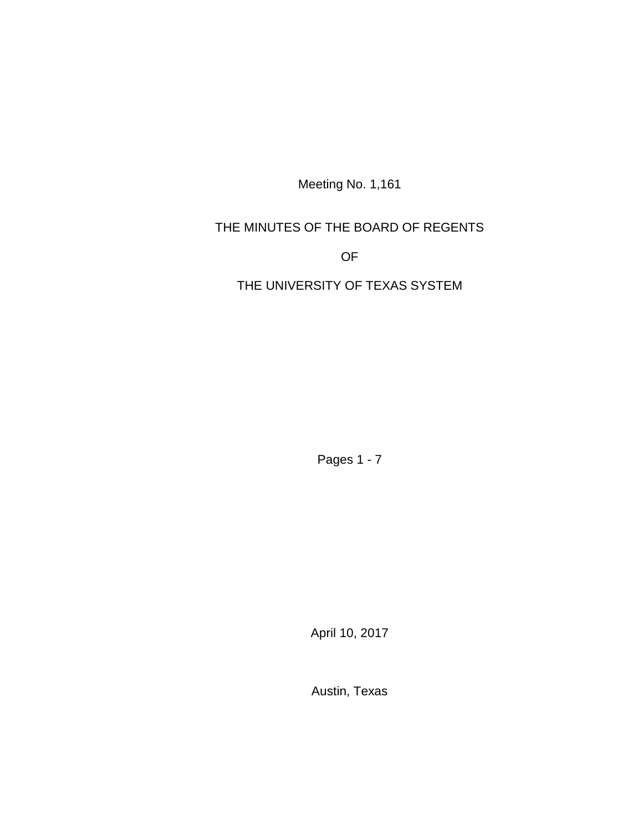Meeting No. 1,161

# THE MINUTES OF THE BOARD OF REGENTS

OF

## THE UNIVERSITY OF TEXAS SYSTEM

Pages 1 - 7

April 10, 2017

Austin, Texas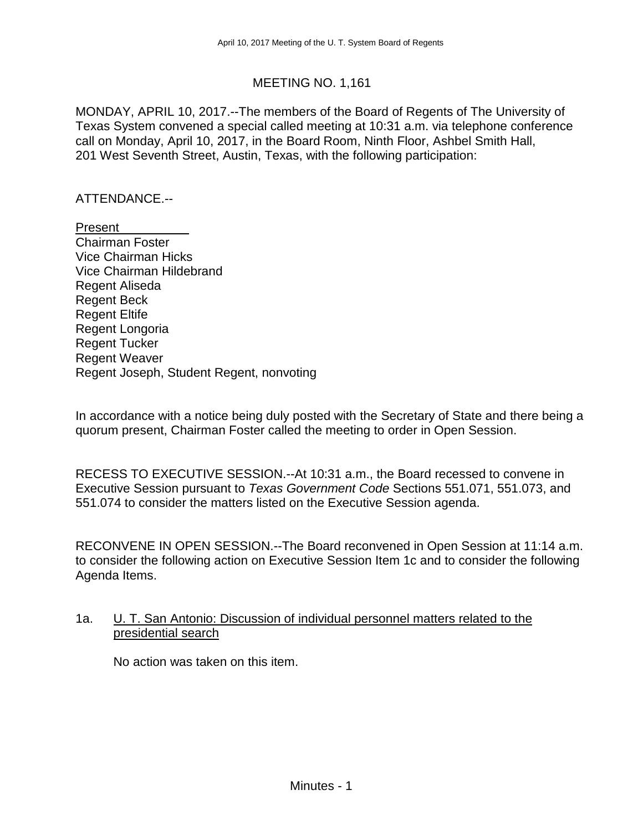## MEETING NO. 1,161

MONDAY, APRIL 10, 2017.--The members of the Board of Regents of The University of Texas System convened a special called meeting at 10:31 a.m. via telephone conference call on Monday, April 10, 2017, in the Board Room, Ninth Floor, Ashbel Smith Hall, 201 West Seventh Street, Austin, Texas, with the following participation:

### ATTENDANCE.--

Present Chairman Foster Vice Chairman Hicks Vice Chairman Hildebrand Regent Aliseda Regent Beck Regent Eltife Regent Longoria Regent Tucker Regent Weaver Regent Joseph, Student Regent, nonvoting

In accordance with a notice being duly posted with the Secretary of State and there being a quorum present, Chairman Foster called the meeting to order in Open Session.

RECESS TO EXECUTIVE SESSION.--At 10:31 a.m., the Board recessed to convene in Executive Session pursuant to *Texas Government Code* Sections 551.071, 551.073, and 551.074 to consider the matters listed on the Executive Session agenda.

RECONVENE IN OPEN SESSION.--The Board reconvened in Open Session at 11:14 a.m. to consider the following action on Executive Session Item 1c and to consider the following Agenda Items.

### 1a. U. T. San Antonio: Discussion of individual personnel matters related to the presidential search

No action was taken on this item.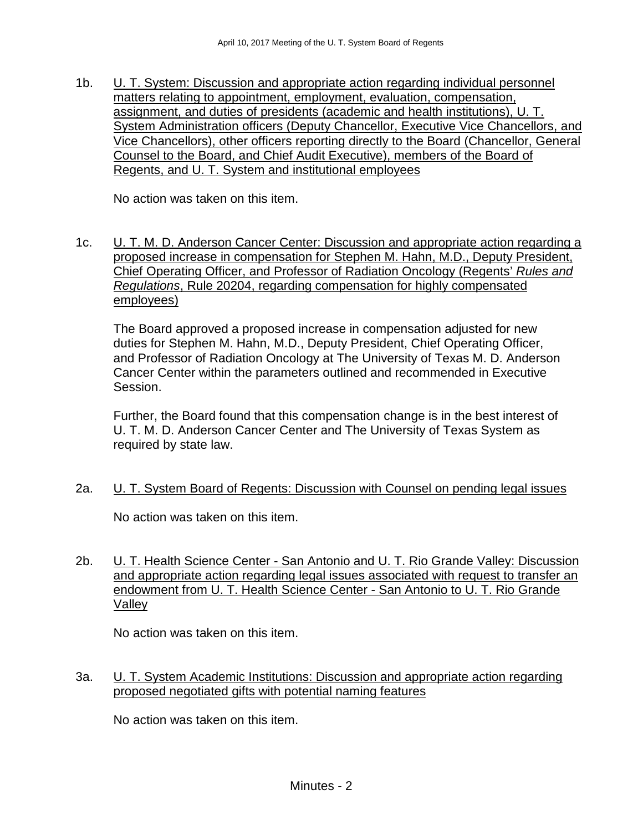1b. U. T. System: Discussion and appropriate action regarding individual personnel matters relating to appointment, employment, evaluation, compensation, assignment, and duties of presidents (academic and health institutions), U. T. System Administration officers (Deputy Chancellor, Executive Vice Chancellors, and Vice Chancellors), other officers reporting directly to the Board (Chancellor, General Counsel to the Board, and Chief Audit Executive), members of the Board of Regents, and U. T. System and institutional employees

No action was taken on this item.

1c. U. T. M. D. Anderson Cancer Center: Discussion and appropriate action regarding a proposed increase in compensation for Stephen M. Hahn, M.D., Deputy President, Chief Operating Officer, and Professor of Radiation Oncology (Regents' *Rules and Regulations*, Rule 20204, regarding compensation for highly compensated employees)

The Board approved a proposed increase in compensation adjusted for new duties for Stephen M. Hahn, M.D., Deputy President, Chief Operating Officer, and Professor of Radiation Oncology at The University of Texas M. D. Anderson Cancer Center within the parameters outlined and recommended in Executive Session.

Further, the Board found that this compensation change is in the best interest of U. T. M. D. Anderson Cancer Center and The University of Texas System as required by state law.

2a. U. T. System Board of Regents: Discussion with Counsel on pending legal issues

No action was taken on this item.

2b. U. T. Health Science Center - San Antonio and U. T. Rio Grande Valley: Discussion and appropriate action regarding legal issues associated with request to transfer an endowment from U. T. Health Science Center - San Antonio to U. T. Rio Grande Valley

No action was taken on this item.

3a. U. T. System Academic Institutions: Discussion and appropriate action regarding proposed negotiated gifts with potential naming features

No action was taken on this item.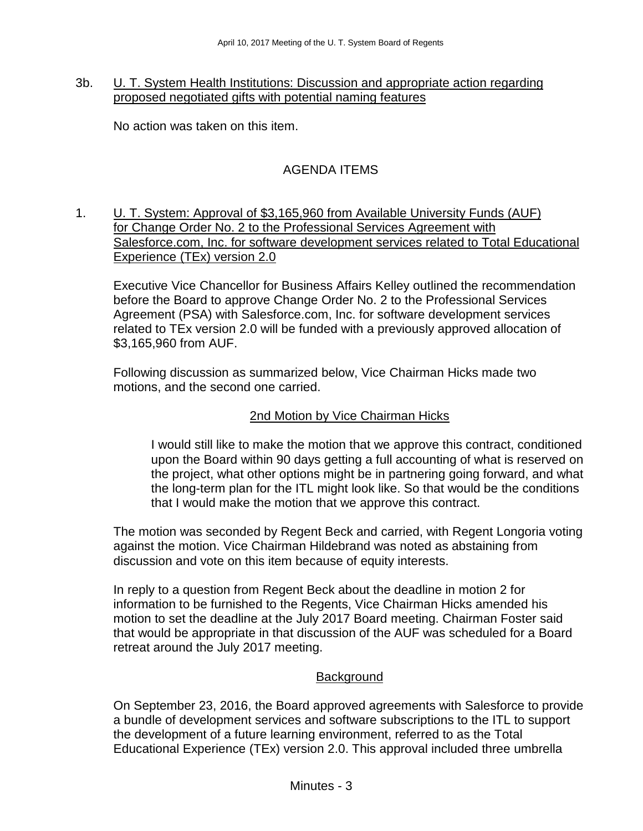### 3b. U. T. System Health Institutions: Discussion and appropriate action regarding proposed negotiated gifts with potential naming features

No action was taken on this item.

## AGENDA ITEMS

### 1. U. T. System: Approval of \$3,165,960 from Available University Funds (AUF) for Change Order No. 2 to the Professional Services Agreement with Salesforce.com, Inc. for software development services related to Total Educational Experience (TEx) version 2.0

Executive Vice Chancellor for Business Affairs Kelley outlined the recommendation before the Board to approve Change Order No. 2 to the Professional Services Agreement (PSA) with Salesforce.com, Inc. for software development services related to TEx version 2.0 will be funded with a previously approved allocation of \$3,165,960 from AUF.

Following discussion as summarized below, Vice Chairman Hicks made two motions, and the second one carried.

## 2nd Motion by Vice Chairman Hicks

I would still like to make the motion that we approve this contract, conditioned upon the Board within 90 days getting a full accounting of what is reserved on the project, what other options might be in partnering going forward, and what the long-term plan for the ITL might look like. So that would be the conditions that I would make the motion that we approve this contract.

The motion was seconded by Regent Beck and carried, with Regent Longoria voting against the motion. Vice Chairman Hildebrand was noted as abstaining from discussion and vote on this item because of equity interests.

In reply to a question from Regent Beck about the deadline in motion 2 for information to be furnished to the Regents, Vice Chairman Hicks amended his motion to set the deadline at the July 2017 Board meeting. Chairman Foster said that would be appropriate in that discussion of the AUF was scheduled for a Board retreat around the July 2017 meeting.

### **Background**

On September 23, 2016, the Board approved agreements with Salesforce to provide a bundle of development services and software subscriptions to the ITL to support the development of a future learning environment, referred to as the Total Educational Experience (TEx) version 2.0. This approval included three umbrella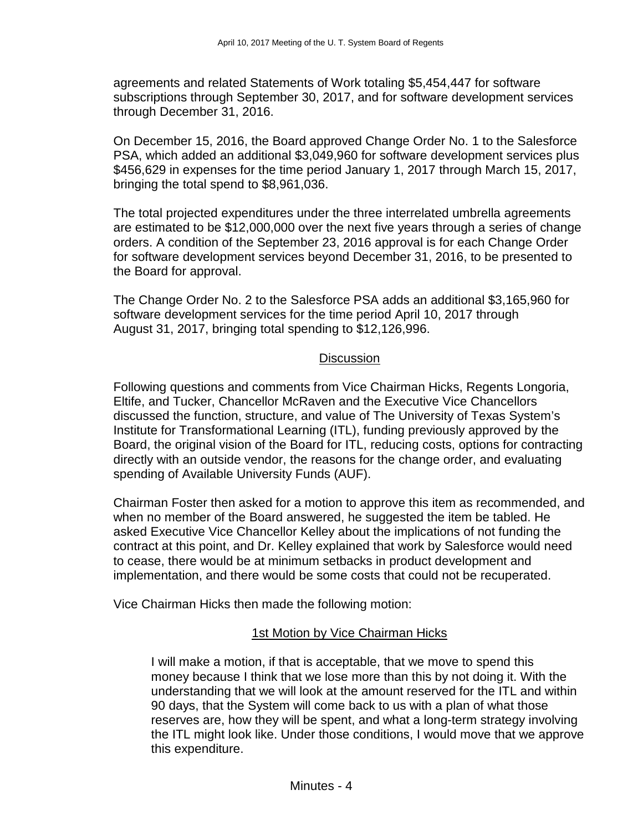agreements and related Statements of Work totaling \$5,454,447 for software subscriptions through September 30, 2017, and for software development services through December 31, 2016.

On December 15, 2016, the Board approved Change Order No. 1 to the Salesforce PSA, which added an additional \$3,049,960 for software development services plus \$456,629 in expenses for the time period January 1, 2017 through March 15, 2017, bringing the total spend to \$8,961,036.

The total projected expenditures under the three interrelated umbrella agreements are estimated to be \$12,000,000 over the next five years through a series of change orders. A condition of the September 23, 2016 approval is for each Change Order for software development services beyond December 31, 2016, to be presented to the Board for approval.

The Change Order No. 2 to the Salesforce PSA adds an additional \$3,165,960 for software development services for the time period April 10, 2017 through August 31, 2017, bringing total spending to \$12,126,996.

#### **Discussion**

Following questions and comments from Vice Chairman Hicks, Regents Longoria, Eltife, and Tucker, Chancellor McRaven and the Executive Vice Chancellors discussed the function, structure, and value of The University of Texas System's Institute for Transformational Learning (ITL), funding previously approved by the Board, the original vision of the Board for ITL, reducing costs, options for contracting directly with an outside vendor, the reasons for the change order, and evaluating spending of Available University Funds (AUF).

Chairman Foster then asked for a motion to approve this item as recommended, and when no member of the Board answered, he suggested the item be tabled. He asked Executive Vice Chancellor Kelley about the implications of not funding the contract at this point, and Dr. Kelley explained that work by Salesforce would need to cease, there would be at minimum setbacks in product development and implementation, and there would be some costs that could not be recuperated.

Vice Chairman Hicks then made the following motion:

### 1st Motion by Vice Chairman Hicks

I will make a motion, if that is acceptable, that we move to spend this money because I think that we lose more than this by not doing it. With the understanding that we will look at the amount reserved for the ITL and within 90 days, that the System will come back to us with a plan of what those reserves are, how they will be spent, and what a long-term strategy involving the ITL might look like. Under those conditions, I would move that we approve this expenditure.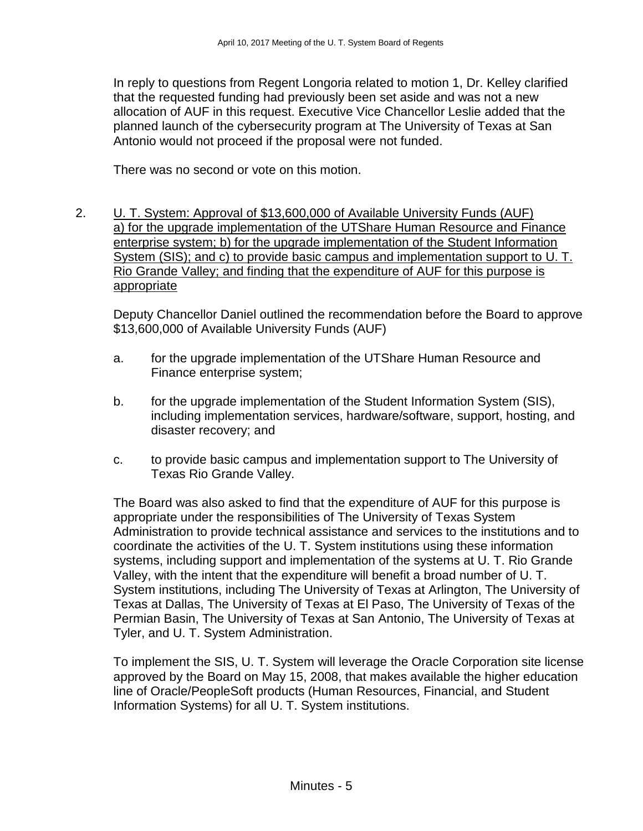In reply to questions from Regent Longoria related to motion 1, Dr. Kelley clarified that the requested funding had previously been set aside and was not a new allocation of AUF in this request. Executive Vice Chancellor Leslie added that the planned launch of the cybersecurity program at The University of Texas at San Antonio would not proceed if the proposal were not funded.

There was no second or vote on this motion.

2. **U. T. System: Approval of \$13,600,000 of Available University Funds (AUF)** a) for the upgrade implementation of the UTShare Human Resource and Finance enterprise system; b) for the upgrade implementation of the Student Information System (SIS); and c) to provide basic campus and implementation support to U. T. Rio Grande Valley; and finding that the expenditure of AUF for this purpose is appropriate

Deputy Chancellor Daniel outlined the recommendation before the Board to approve \$13,600,000 of Available University Funds (AUF)

- a. for the upgrade implementation of the UTShare Human Resource and Finance enterprise system;
- b. for the upgrade implementation of the Student Information System (SIS), including implementation services, hardware/software, support, hosting, and disaster recovery; and
- c. to provide basic campus and implementation support to The University of Texas Rio Grande Valley.

The Board was also asked to find that the expenditure of AUF for this purpose is appropriate under the responsibilities of The University of Texas System Administration to provide technical assistance and services to the institutions and to coordinate the activities of the U. T. System institutions using these information systems, including support and implementation of the systems at U. T. Rio Grande Valley, with the intent that the expenditure will benefit a broad number of U. T. System institutions, including The University of Texas at Arlington, The University of Texas at Dallas, The University of Texas at El Paso, The University of Texas of the Permian Basin, The University of Texas at San Antonio, The University of Texas at Tyler, and U. T. System Administration.

To implement the SIS, U. T. System will leverage the Oracle Corporation site license approved by the Board on May 15, 2008, that makes available the higher education line of Oracle/PeopleSoft products (Human Resources, Financial, and Student Information Systems) for all U. T. System institutions.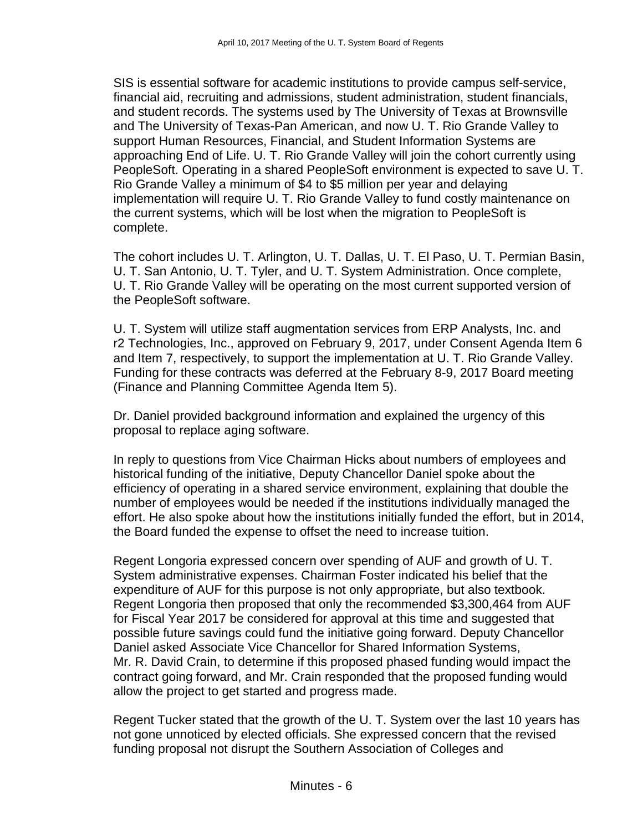SIS is essential software for academic institutions to provide campus self-service, financial aid, recruiting and admissions, student administration, student financials, and student records. The systems used by The University of Texas at Brownsville and The University of Texas-Pan American, and now U. T. Rio Grande Valley to support Human Resources, Financial, and Student Information Systems are approaching End of Life. U. T. Rio Grande Valley will join the cohort currently using PeopleSoft. Operating in a shared PeopleSoft environment is expected to save U. T. Rio Grande Valley a minimum of \$4 to \$5 million per year and delaying implementation will require U. T. Rio Grande Valley to fund costly maintenance on the current systems, which will be lost when the migration to PeopleSoft is complete.

The cohort includes U. T. Arlington, U. T. Dallas, U. T. El Paso, U. T. Permian Basin, U. T. San Antonio, U. T. Tyler, and U. T. System Administration. Once complete, U. T. Rio Grande Valley will be operating on the most current supported version of the PeopleSoft software.

U. T. System will utilize staff augmentation services from ERP Analysts, Inc. and r2 Technologies, Inc., approved on February 9, 2017, under Consent Agenda Item 6 and Item 7, respectively, to support the implementation at U. T. Rio Grande Valley. Funding for these contracts was deferred at the February 8-9, 2017 Board meeting (Finance and Planning Committee Agenda Item 5).

Dr. Daniel provided background information and explained the urgency of this proposal to replace aging software.

In reply to questions from Vice Chairman Hicks about numbers of employees and historical funding of the initiative, Deputy Chancellor Daniel spoke about the efficiency of operating in a shared service environment, explaining that double the number of employees would be needed if the institutions individually managed the effort. He also spoke about how the institutions initially funded the effort, but in 2014, the Board funded the expense to offset the need to increase tuition.

Regent Longoria expressed concern over spending of AUF and growth of U. T. System administrative expenses. Chairman Foster indicated his belief that the expenditure of AUF for this purpose is not only appropriate, but also textbook. Regent Longoria then proposed that only the recommended \$3,300,464 from AUF for Fiscal Year 2017 be considered for approval at this time and suggested that possible future savings could fund the initiative going forward. Deputy Chancellor Daniel asked Associate Vice Chancellor for Shared Information Systems, Mr. R. David Crain, to determine if this proposed phased funding would impact the contract going forward, and Mr. Crain responded that the proposed funding would allow the project to get started and progress made.

Regent Tucker stated that the growth of the U. T. System over the last 10 years has not gone unnoticed by elected officials. She expressed concern that the revised funding proposal not disrupt the Southern Association of Colleges and